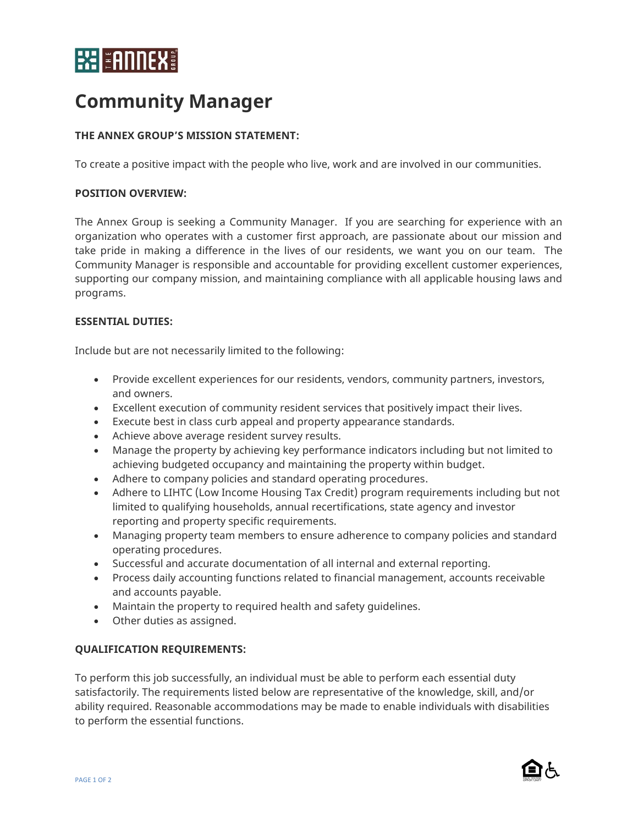# **EXELEMPIES**

# **Community Manager**

## **THE ANNEX GROUP'S MISSION STATEMENT:**

To create a positive impact with the people who live, work and are involved in our communities.

#### **POSITION OVERVIEW:**

The Annex Group is seeking a Community Manager. If you are searching for experience with an organization who operates with a customer first approach, are passionate about our mission and take pride in making a difference in the lives of our residents, we want you on our team. The Community Manager is responsible and accountable for providing excellent customer experiences, supporting our company mission, and maintaining compliance with all applicable housing laws and programs.

#### **ESSENTIAL DUTIES:**

Include but are not necessarily limited to the following:

- Provide excellent experiences for our residents, vendors, community partners, investors, and owners.
- Excellent execution of community resident services that positively impact their lives.
- Execute best in class curb appeal and property appearance standards.
- Achieve above average resident survey results.
- Manage the property by achieving key performance indicators including but not limited to achieving budgeted occupancy and maintaining the property within budget.
- Adhere to company policies and standard operating procedures.
- Adhere to LIHTC (Low Income Housing Tax Credit) program requirements including but not limited to qualifying households, annual recertifications, state agency and investor reporting and property specific requirements.
- Managing property team members to ensure adherence to company policies and standard operating procedures.
- Successful and accurate documentation of all internal and external reporting.
- Process daily accounting functions related to financial management, accounts receivable and accounts payable.
- Maintain the property to required health and safety guidelines.
- Other duties as assigned.

### **QUALIFICATION REQUIREMENTS:**

To perform this job successfully, an individual must be able to perform each essential duty satisfactorily. The requirements listed below are representative of the knowledge, skill, and/or ability required. Reasonable accommodations may be made to enable individuals with disabilities to perform the essential functions.